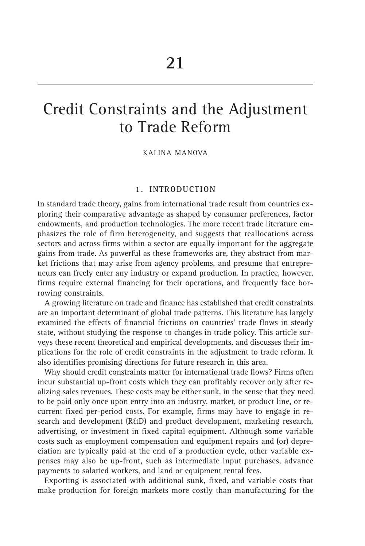# Credit Constraints and the Adjustment to Trade Reform

KALINA MANOVA

## **1. INTRODUCTION**

In standard trade theory, gains from international trade result from countries exploring their comparative advantage as shaped by consumer preferences, factor endowments, and production technologies. The more recent trade literature emphasizes the role of firm heterogeneity, and suggests that reallocations across sectors and across firms within a sector are equally important for the aggregate gains from trade. As powerful as these frameworks are, they abstract from market frictions that may arise from agency problems, and presume that entrepreneurs can freely enter any industry or expand production. In practice, however, firms require external financing for their operations, and frequently face borrowing constraints.

A growing literature on trade and finance has established that credit constraints are an important determinant of global trade patterns. This literature has largely examined the effects of financial frictions on countries' trade flows in steady state, without studying the response to changes in trade policy. This article surveys these recent theoretical and empirical developments, and discusses their implications for the role of credit constraints in the adjustment to trade reform. It also identifies promising directions for future research in this area.

Why should credit constraints matter for international trade flows? Firms often incur substantial up-front costs which they can profitably recover only after realizing sales revenues. These costs may be either sunk, in the sense that they need to be paid only once upon entry into an industry, market, or product line, or recurrent fixed per-period costs. For example, firms may have to engage in research and development (R&D) and product development, marketing research, advertising, or investment in fixed capital equipment. Although some variable costs such as employment compensation and equipment repairs and (or) depreciation are typically paid at the end of a production cycle, other variable expenses may also be up-front, such as intermediate input purchases, advance payments to salaried workers, and land or equipment rental fees.

Exporting is associated with additional sunk, fixed, and variable costs that make production for foreign markets more costly than manufacturing for the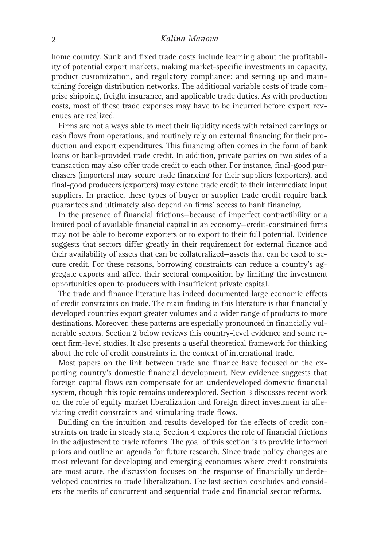home country. Sunk and fixed trade costs include learning about the profitability of potential export markets; making market-specific investments in capacity, product customization, and regulatory compliance; and setting up and maintaining foreign distribution networks. The additional variable costs of trade comprise shipping, freight insurance, and applicable trade duties. As with production costs, most of these trade expenses may have to be incurred before export revenues are realized.

Firms are not always able to meet their liquidity needs with retained earnings or cash flows from operations, and routinely rely on external financing for their production and export expenditures. This financing often comes in the form of bank loans or bank-provided trade credit. In addition, private parties on two sides of a transaction may also offer trade credit to each other. For instance, final-good purchasers (importers) may secure trade financing for their suppliers (exporters), and final-good producers (exporters) may extend trade credit to their intermediate input suppliers. In practice, these types of buyer or supplier trade credit require bank guarantees and ultimately also depend on firms' access to bank financing.

In the presence of financial frictions—because of imperfect contractibility or a limited pool of available financial capital in an economy—credit-constrained firms may not be able to become exporters or to export to their full potential. Evidence suggests that sectors differ greatly in their requirement for external finance and their availability of assets that can be collateralized—assets that can be used to secure credit. For these reasons, borrowing constraints can reduce a country's aggregate exports and affect their sectoral composition by limiting the investment opportunities open to producers with insufficient private capital.

The trade and finance literature has indeed documented large economic effects of credit constraints on trade. The main finding in this literature is that financially developed countries export greater volumes and a wider range of products to more destinations. Moreover, these patterns are especially pronounced in financially vulnerable sectors. Section 2 below reviews this country-level evidence and some recent firm-level studies. It also presents a useful theoretical framework for thinking about the role of credit constraints in the context of international trade.

Most papers on the link between trade and finance have focused on the exporting country's domestic financial development. New evidence suggests that foreign capital flows can compensate for an underdeveloped domestic financial system, though this topic remains underexplored. Section 3 discusses recent work on the role of equity market liberalization and foreign direct investment in alleviating credit constraints and stimulating trade flows.

Building on the intuition and results developed for the effects of credit constraints on trade in steady state, Section 4 explores the role of financial frictions in the adjustment to trade reforms. The goal of this section is to provide informed priors and outline an agenda for future research. Since trade policy changes are most relevant for developing and emerging economies where credit constraints are most acute, the discussion focuses on the response of financially underdeveloped countries to trade liberalization. The last section concludes and considers the merits of concurrent and sequential trade and financial sector reforms.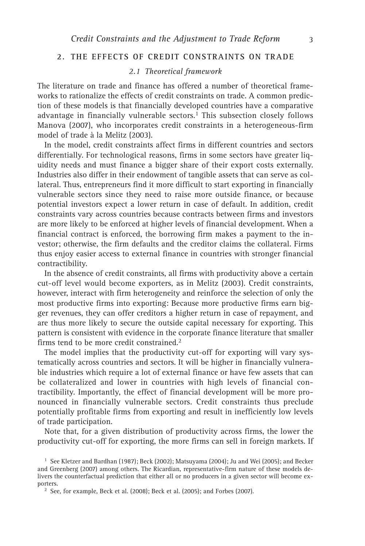# **2. THE EFFECTS OF CREDIT CONSTRAINTS ON TRADE**

## *2.1 Theoretical framework*

The literature on trade and finance has offered a number of theoretical frameworks to rationalize the effects of credit constraints on trade. A common prediction of these models is that financially developed countries have a comparative advantage in financially vulnerable sectors.<sup>1</sup> This subsection closely follows Manova (2007), who incorporates credit constraints in a heterogeneous-firm model of trade à la Melitz (2003).

In the model, credit constraints affect firms in different countries and sectors differentially. For technological reasons, firms in some sectors have greater liquidity needs and must finance a bigger share of their export costs externally. Industries also differ in their endowment of tangible assets that can serve as collateral. Thus, entrepreneurs find it more difficult to start exporting in financially vulnerable sectors since they need to raise more outside finance, or because potential investors expect a lower return in case of default. In addition, credit constraints vary across countries because contracts between firms and investors are more likely to be enforced at higher levels of financial development. When a financial contract is enforced, the borrowing firm makes a payment to the investor; otherwise, the firm defaults and the creditor claims the collateral. Firms thus enjoy easier access to external finance in countries with stronger financial contractibility.

In the absence of credit constraints, all firms with productivity above a certain cut-off level would become exporters, as in Melitz (2003). Credit constraints, however, interact with firm heterogeneity and reinforce the selection of only the most productive firms into exporting: Because more productive firms earn bigger revenues, they can offer creditors a higher return in case of repayment, and are thus more likely to secure the outside capital necessary for exporting. This pattern is consistent with evidence in the corporate finance literature that smaller firms tend to be more credit constrained.<sup>2</sup>

The model implies that the productivity cut-off for exporting will vary systematically across countries and sectors. It will be higher in financially vulnerable industries which require a lot of external finance or have few assets that can be collateralized and lower in countries with high levels of financial contractibility. Importantly, the effect of financial development will be more pronounced in financially vulnerable sectors. Credit constraints thus preclude potentially profitable firms from exporting and result in inefficiently low levels of trade participation.

Note that, for a given distribution of productivity across firms, the lower the productivity cut-off for exporting, the more firms can sell in foreign markets. If

<sup>&</sup>lt;sup>1</sup> See Kletzer and Bardhan (1987); Beck (2002); Matsuyama (2004); Ju and Wei (2005); and Becker and Greenberg (2007) among others. The Ricardian, representative-firm nature of these models delivers the counterfactual prediction that either all or no producers in a given sector will become exporters.

 $2$  See, for example, Beck et al. (2008); Beck et al. (2005); and Forbes (2007).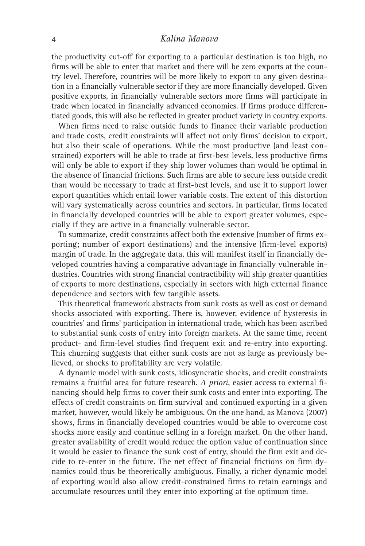the productivity cut-off for exporting to a particular destination is too high, no firms will be able to enter that market and there will be zero exports at the country level. Therefore, countries will be more likely to export to any given destination in a financially vulnerable sector if they are more financially developed. Given positive exports, in financially vulnerable sectors more firms will participate in trade when located in financially advanced economies. If firms produce differentiated goods, this will also be reflected in greater product variety in country exports.

When firms need to raise outside funds to finance their variable production and trade costs, credit constraints will affect not only firms' decision to export, but also their scale of operations. While the most productive (and least constrained) exporters will be able to trade at first-best levels, less productive firms will only be able to export if they ship lower volumes than would be optimal in the absence of financial frictions. Such firms are able to secure less outside credit than would be necessary to trade at first-best levels, and use it to support lower export quantities which entail lower variable costs. The extent of this distortion will vary systematically across countries and sectors. In particular, firms located in financially developed countries will be able to export greater volumes, especially if they are active in a financially vulnerable sector.

To summarize, credit constraints affect both the extensive (number of firms exporting; number of export destinations) and the intensive (firm-level exports) margin of trade. In the aggregate data, this will manifest itself in financially developed countries having a comparative advantage in financially vulnerable industries. Countries with strong financial contractibility will ship greater quantities of exports to more destinations, especially in sectors with high external finance dependence and sectors with few tangible assets.

This theoretical framework abstracts from sunk costs as well as cost or demand shocks associated with exporting. There is, however, evidence of hysteresis in countries' and firms' participation in international trade, which has been ascribed to substantial sunk costs of entry into foreign markets. At the same time, recent product- and firm-level studies find frequent exit and re-entry into exporting. This churning suggests that either sunk costs are not as large as previously believed, or shocks to profitability are very volatile.

A dynamic model with sunk costs, idiosyncratic shocks, and credit constraints remains a fruitful area for future research. *A priori*, easier access to external financing should help firms to cover their sunk costs and enter into exporting. The effects of credit constraints on firm survival and continued exporting in a given market, however, would likely be ambiguous. On the one hand, as Manova (2007) shows, firms in financially developed countries would be able to overcome cost shocks more easily and continue selling in a foreign market. On the other hand, greater availability of credit would reduce the option value of continuation since it would be easier to finance the sunk cost of entry, should the firm exit and decide to re-enter in the future. The net effect of financial frictions on firm dynamics could thus be theoretically ambiguous. Finally, a richer dynamic model of exporting would also allow credit-constrained firms to retain earnings and accumulate resources until they enter into exporting at the optimum time.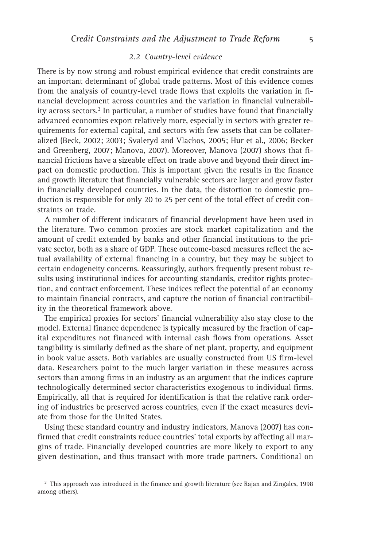#### *2.2 Country-level evidence*

There is by now strong and robust empirical evidence that credit constraints are an important determinant of global trade patterns. Most of this evidence comes from the analysis of country-level trade flows that exploits the variation in financial development across countries and the variation in financial vulnerability across sectors.<sup>3</sup> In particular, a number of studies have found that financially advanced economies export relatively more, especially in sectors with greater requirements for external capital, and sectors with few assets that can be collateralized (Beck, 2002; 2003; Svaleryd and Vlachos, 2005; Hur et al., 2006; Becker and Greenberg, 2007; Manova, 2007). Moreover, Manova (2007) shows that financial frictions have a sizeable effect on trade above and beyond their direct impact on domestic production. This is important given the results in the finance and growth literature that financially vulnerable sectors are larger and grow faster in financially developed countries. In the data, the distortion to domestic production is responsible for only 20 to 25 per cent of the total effect of credit constraints on trade.

A number of different indicators of financial development have been used in the literature. Two common proxies are stock market capitalization and the amount of credit extended by banks and other financial institutions to the private sector, both as a share of GDP. These outcome-based measures reflect the actual availability of external financing in a country, but they may be subject to certain endogeneity concerns. Reassuringly, authors frequently present robust results using institutional indices for accounting standards, creditor rights protection, and contract enforcement. These indices reflect the potential of an economy to maintain financial contracts, and capture the notion of financial contractibility in the theoretical framework above.

The empirical proxies for sectors' financial vulnerability also stay close to the model. External finance dependence is typically measured by the fraction of capital expenditures not financed with internal cash flows from operations. Asset tangibility is similarly defined as the share of net plant, property, and equipment in book value assets. Both variables are usually constructed from US firm-level data. Researchers point to the much larger variation in these measures across sectors than among firms in an industry as an argument that the indices capture technologically determined sector characteristics exogenous to individual firms. Empirically, all that is required for identification is that the relative rank ordering of industries be preserved across countries, even if the exact measures deviate from those for the United States.

Using these standard country and industry indicators, Manova (2007) has confirmed that credit constraints reduce countries' total exports by affecting all margins of trade. Financially developed countries are more likely to export to any given destination, and thus transact with more trade partners. Conditional on

<sup>3</sup> This approach was introduced in the finance and growth literature (see Rajan and Zingales, 1998 among others).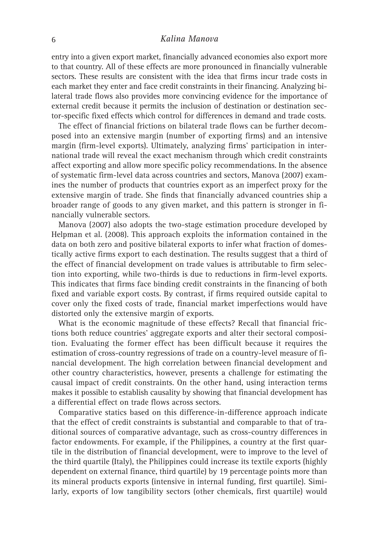entry into a given export market, financially advanced economies also export more to that country. All of these effects are more pronounced in financially vulnerable sectors. These results are consistent with the idea that firms incur trade costs in each market they enter and face credit constraints in their financing. Analyzing bilateral trade flows also provides more convincing evidence for the importance of external credit because it permits the inclusion of destination or destination sector-specific fixed effects which control for differences in demand and trade costs.

The effect of financial frictions on bilateral trade flows can be further decomposed into an extensive margin (number of exporting firms) and an intensive margin (firm-level exports). Ultimately, analyzing firms' participation in international trade will reveal the exact mechanism through which credit constraints affect exporting and allow more specific policy recommendations. In the absence of systematic firm-level data across countries and sectors, Manova (2007) examines the number of products that countries export as an imperfect proxy for the extensive margin of trade. She finds that financially advanced countries ship a broader range of goods to any given market, and this pattern is stronger in financially vulnerable sectors.

Manova (2007) also adopts the two-stage estimation procedure developed by Helpman et al. (2008). This approach exploits the information contained in the data on both zero and positive bilateral exports to infer what fraction of domestically active firms export to each destination. The results suggest that a third of the effect of financial development on trade values is attributable to firm selection into exporting, while two-thirds is due to reductions in firm-level exports. This indicates that firms face binding credit constraints in the financing of both fixed and variable export costs. By contrast, if firms required outside capital to cover only the fixed costs of trade, financial market imperfections would have distorted only the extensive margin of exports.

What is the economic magnitude of these effects? Recall that financial frictions both reduce countries' aggregate exports and alter their sectoral composition. Evaluating the former effect has been difficult because it requires the estimation of cross-country regressions of trade on a country-level measure of financial development. The high correlation between financial development and other country characteristics, however, presents a challenge for estimating the causal impact of credit constraints. On the other hand, using interaction terms makes it possible to establish causality by showing that financial development has a differential effect on trade flows across sectors.

Comparative statics based on this difference-in-difference approach indicate that the effect of credit constraints is substantial and comparable to that of traditional sources of comparative advantage, such as cross-country differences in factor endowments. For example, if the Philippines, a country at the first quartile in the distribution of financial development, were to improve to the level of the third quartile (Italy), the Philippines could increase its textile exports (highly dependent on external finance, third quartile) by 19 percentage points more than its mineral products exports (intensive in internal funding, first quartile). Similarly, exports of low tangibility sectors (other chemicals, first quartile) would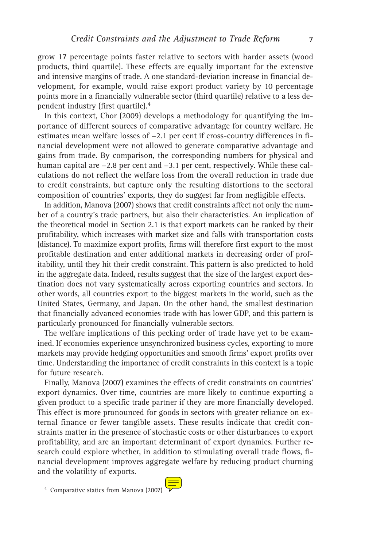grow 17 percentage points faster relative to sectors with harder assets (wood products, third quartile). These effects are equally important for the extensive and intensive margins of trade. A one standard-deviation increase in financial development, for example, would raise export product variety by 10 percentage points more in a financially vulnerable sector (third quartile) relative to a less dependent industry (first quartile).4

In this context, Chor (2009) develops a methodology for quantifying the importance of different sources of comparative advantage for country welfare. He estimates mean welfare losses of −2.1 per cent if cross-country differences in financial development were not allowed to generate comparative advantage and gains from trade. By comparison, the corresponding numbers for physical and human capital are −2.8 per cent and −3.1 per cent, respectively. While these calculations do not reflect the welfare loss from the overall reduction in trade due to credit constraints, but capture only the resulting distortions to the sectoral composition of countries' exports, they do suggest far from negligible effects.

In addition, Manova (2007) shows that credit constraints affect not only the number of a country's trade partners, but also their characteristics. An implication of the theoretical model in Section 2.1 is that export markets can be ranked by their profitability, which increases with market size and falls with transportation costs (distance). To maximize export profits, firms will therefore first export to the most profitable destination and enter additional markets in decreasing order of profitability, until they hit their credit constraint. This pattern is also predicted to hold in the aggregate data. Indeed, results suggest that the size of the largest export destination does not vary systematically across exporting countries and sectors. In other words, all countries export to the biggest markets in the world, such as the United States, Germany, and Japan. On the other hand, the smallest destination that financially advanced economies trade with has lower GDP, and this pattern is particularly pronounced for financially vulnerable sectors.

The welfare implications of this pecking order of trade have yet to be examined. If economies experience unsynchronized business cycles, exporting to more markets may provide hedging opportunities and smooth firms' export profits over time. Understanding the importance of credit constraints in this context is a topic for future research.

Finally, Manova (2007) examines the effects of credit constraints on countries' export dynamics. Over time, countries are more likely to continue exporting a given product to a specific trade partner if they are more financially developed. This effect is more pronounced for goods in sectors with greater reliance on external finance or fewer tangible assets. These results indicate that credit constraints matter in the presence of stochastic costs or other disturbances to export profitability, and are an important determinant of export dynamics. Further research could explore whether, in addition to stimulating overall trade flows, financial development improves aggregate welfare by reducing product churning and the volatility of exports.

<sup>4</sup> Comparative statics from Manova (2007)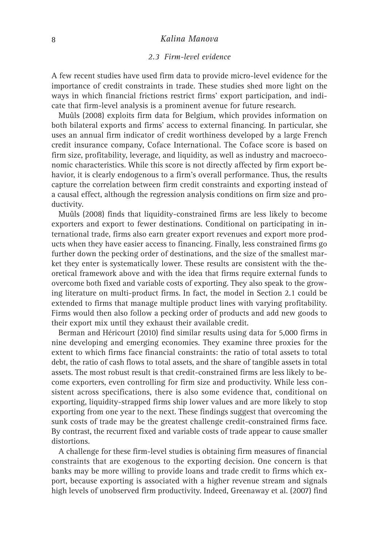### *2.3 Firm-level evidence*

A few recent studies have used firm data to provide micro-level evidence for the importance of credit constraints in trade. These studies shed more light on the ways in which financial frictions restrict firms' export participation, and indicate that firm-level analysis is a prominent avenue for future research.

Muûls (2008) exploits firm data for Belgium, which provides information on both bilateral exports and firms' access to external financing. In particular, she uses an annual firm indicator of credit worthiness developed by a large French credit insurance company, Coface International. The Coface score is based on firm size, profitability, leverage, and liquidity, as well as industry and macroeconomic characteristics. While this score is not directly affected by firm export behavior, it is clearly endogenous to a firm's overall performance. Thus, the results capture the correlation between firm credit constraints and exporting instead of a causal effect, although the regression analysis conditions on firm size and productivity.

Muûls (2008) finds that liquidity-constrained firms are less likely to become exporters and export to fewer destinations. Conditional on participating in international trade, firms also earn greater export revenues and export more products when they have easier access to financing. Finally, less constrained firms go further down the pecking order of destinations, and the size of the smallest market they enter is systematically lower. These results are consistent with the theoretical framework above and with the idea that firms require external funds to overcome both fixed and variable costs of exporting. They also speak to the growing literature on multi-product firms. In fact, the model in Section 2.1 could be extended to firms that manage multiple product lines with varying profitability. Firms would then also follow a pecking order of products and add new goods to their export mix until they exhaust their available credit.

Berman and Héricourt (2010) find similar results using data for 5,000 firms in nine developing and emerging economies. They examine three proxies for the extent to which firms face financial constraints: the ratio of total assets to total debt, the ratio of cash flows to total assets, and the share of tangible assets in total assets. The most robust result is that credit-constrained firms are less likely to become exporters, even controlling for firm size and productivity. While less consistent across specifications, there is also some evidence that, conditional on exporting, liquidity-strapped firms ship lower values and are more likely to stop exporting from one year to the next. These findings suggest that overcoming the sunk costs of trade may be the greatest challenge credit-constrained firms face. By contrast, the recurrent fixed and variable costs of trade appear to cause smaller distortions.

A challenge for these firm-level studies is obtaining firm measures of financial constraints that are exogenous to the exporting decision. One concern is that banks may be more willing to provide loans and trade credit to firms which export, because exporting is associated with a higher revenue stream and signals high levels of unobserved firm productivity. Indeed, Greenaway et al. (2007) find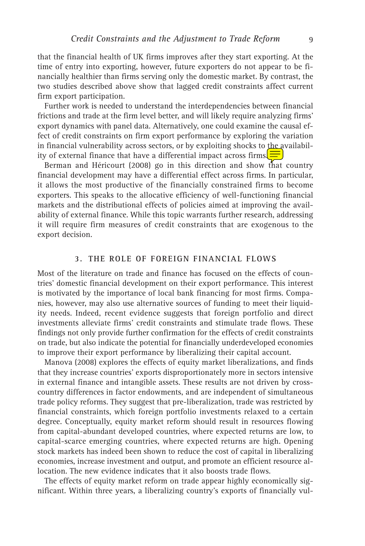that the financial health of UK firms improves after they start exporting. At the time of entry into exporting, however, future exporters do not appear to be financially healthier than firms serving only the domestic market. By contrast, the two studies described above show that lagged credit constraints affect current firm export participation.

Further work is needed to understand the interdependencies between financial frictions and trade at the firm level better, and will likely require analyzing firms' export dynamics with panel data. Alternatively, one could examine the causal effect of credit constraints on firm export performance by exploring the variation in financial vulnerability across sectors, or by exploiting shocks to the availability of external finance that have a differential impact across firms  $\equiv$ 

Berman and Héricourt (2008) go in this direction and show that country financial development may have a differential effect across firms. In particular, it allows the most productive of the financially constrained firms to become exporters. This speaks to the allocative efficiency of well-functioning financial markets and the distributional effects of policies aimed at improving the availability of external finance. While this topic warrants further research, addressing it will require firm measures of credit constraints that are exogenous to the export decision.

## **3. THE ROLE OF FOREIGN FINANCIAL FLOWS**

Most of the literature on trade and finance has focused on the effects of countries' domestic financial development on their export performance. This interest is motivated by the importance of local bank financing for most firms. Companies, however, may also use alternative sources of funding to meet their liquidity needs. Indeed, recent evidence suggests that foreign portfolio and direct investments alleviate firms' credit constraints and stimulate trade flows. These findings not only provide further confirmation for the effects of credit constraints on trade, but also indicate the potential for financially underdeveloped economies to improve their export performance by liberalizing their capital account.

Manova (2008) explores the effects of equity market liberalizations, and finds that they increase countries' exports disproportionately more in sectors intensive in external finance and intangible assets. These results are not driven by crosscountry differences in factor endowments, and are independent of simultaneous trade policy reforms. They suggest that pre-liberalization, trade was restricted by financial constraints, which foreign portfolio investments relaxed to a certain degree. Conceptually, equity market reform should result in resources flowing from capital-abundant developed countries, where expected returns are low, to capital-scarce emerging countries, where expected returns are high. Opening stock markets has indeed been shown to reduce the cost of capital in liberalizing economies, increase investment and output, and promote an efficient resource allocation. The new evidence indicates that it also boosts trade flows.

The effects of equity market reform on trade appear highly economically significant. Within three years, a liberalizing country's exports of financially vul-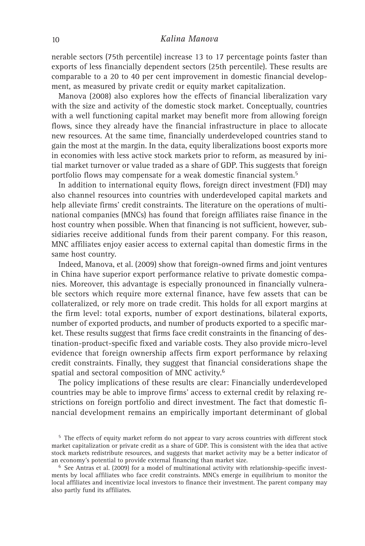nerable sectors (75th percentile) increase 13 to 17 percentage points faster than exports of less financially dependent sectors (25th percentile). These results are comparable to a 20 to 40 per cent improvement in domestic financial development, as measured by private credit or equity market capitalization.

Manova (2008) also explores how the effects of financial liberalization vary with the size and activity of the domestic stock market. Conceptually, countries with a well functioning capital market may benefit more from allowing foreign flows, since they already have the financial infrastructure in place to allocate new resources. At the same time, financially underdeveloped countries stand to gain the most at the margin. In the data, equity liberalizations boost exports more in economies with less active stock markets prior to reform, as measured by initial market turnover or value traded as a share of GDP. This suggests that foreign portfolio flows may compensate for a weak domestic financial system.<sup>5</sup>

In addition to international equity flows, foreign direct investment (FDI) may also channel resources into countries with underdeveloped capital markets and help alleviate firms' credit constraints. The literature on the operations of multinational companies (MNCs) has found that foreign affiliates raise finance in the host country when possible. When that financing is not sufficient, however, subsidiaries receive additional funds from their parent company. For this reason, MNC affiliates enjoy easier access to external capital than domestic firms in the same host country.

Indeed, Manova, et al. (2009) show that foreign-owned firms and joint ventures in China have superior export performance relative to private domestic companies. Moreover, this advantage is especially pronounced in financially vulnerable sectors which require more external finance, have few assets that can be collateralized, or rely more on trade credit. This holds for all export margins at the firm level: total exports, number of export destinations, bilateral exports, number of exported products, and number of products exported to a specific market. These results suggest that firms face credit constraints in the financing of destination-product-specific fixed and variable costs. They also provide micro-level evidence that foreign ownership affects firm export performance by relaxing credit constraints. Finally, they suggest that financial considerations shape the spatial and sectoral composition of MNC activity.<sup>6</sup>

The policy implications of these results are clear: Financially underdeveloped countries may be able to improve firms' access to external credit by relaxing restrictions on foreign portfolio and direct investment. The fact that domestic financial development remains an empirically important determinant of global

<sup>&</sup>lt;sup>5</sup> The effects of equity market reform do not appear to vary across countries with different stock market capitalization or private credit as a share of GDP. This is consistent with the idea that active stock markets redistribute resources, and suggests that market activity may be a better indicator of an economy's potential to provide external financing than market size.

<sup>6</sup> See Antras et al. (2009) for a model of multinational activity with relationship-specific investments by local affiliates who face credit constraints. MNCs emerge in equilibrium to monitor the local affiliates and incentivize local investors to finance their investment. The parent company may also partly fund its affiliates.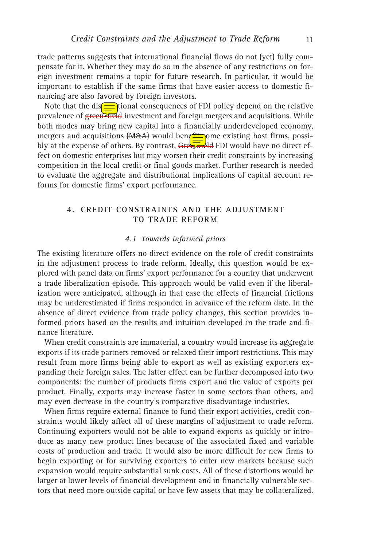trade patterns suggests that international financial flows do not (yet) fully compensate for it. Whether they may do so in the absence of any restrictions on foreign investment remains a topic for future research. In particular, it would be important to establish if the same firms that have easier access to domestic financing are also favored by foreign investors.

Note that the dis $\equiv$ tional consequences of FDI policy depend on the relative prevalence of **green tield** investment and foreign mergers and acquisitions. While both modes may bring new capital into a financially underdeveloped economy, mergers and acquisitions  $(MHA)$  would benefit some existing host firms, possibly at the expense of others. By contrast,  $G$ reb $\overline{H}$ eld FDI would have no direct effect on domestic enterprises but may worsen their credit constraints by increasing competition in the local credit or final goods market. Further research is needed to evaluate the aggregate and distributional implications of capital account reforms for domestic firms' export performance.

# **4. CREDIT CONSTRAINTS AND THE ADJUSTMENT TO TRADE REFORM**

### *4.1 Towards informed priors*

The existing literature offers no direct evidence on the role of credit constraints in the adjustment process to trade reform. Ideally, this question would be explored with panel data on firms' export performance for a country that underwent a trade liberalization episode. This approach would be valid even if the liberalization were anticipated, although in that case the effects of financial frictions may be underestimated if firms responded in advance of the reform date. In the absence of direct evidence from trade policy changes, this section provides informed priors based on the results and intuition developed in the trade and finance literature.

When credit constraints are immaterial, a country would increase its aggregate exports if its trade partners removed or relaxed their import restrictions. This may result from more firms being able to export as well as existing exporters expanding their foreign sales. The latter effect can be further decomposed into two components: the number of products firms export and the value of exports per product. Finally, exports may increase faster in some sectors than others, and may even decrease in the country's comparative disadvantage industries.

When firms require external finance to fund their export activities, credit constraints would likely affect all of these margins of adjustment to trade reform. Continuing exporters would not be able to expand exports as quickly or introduce as many new product lines because of the associated fixed and variable costs of production and trade. It would also be more difficult for new firms to begin exporting or for surviving exporters to enter new markets because such expansion would require substantial sunk costs. All of these distortions would be larger at lower levels of financial development and in financially vulnerable sectors that need more outside capital or have few assets that may be collateralized.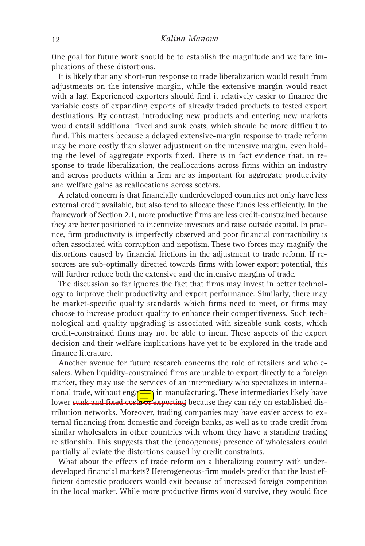One goal for future work should be to establish the magnitude and welfare implications of these distortions.

It is likely that any short-run response to trade liberalization would result from adjustments on the intensive margin, while the extensive margin would react with a lag. Experienced exporters should find it relatively easier to finance the variable costs of expanding exports of already traded products to tested export destinations. By contrast, introducing new products and entering new markets would entail additional fixed and sunk costs, which should be more difficult to fund. This matters because a delayed extensive-margin response to trade reform may be more costly than slower adjustment on the intensive margin, even holding the level of aggregate exports fixed. There is in fact evidence that, in response to trade liberalization, the reallocations across firms within an industry and across products within a firm are as important for aggregate productivity and welfare gains as reallocations across sectors.

A related concern is that financially underdeveloped countries not only have less external credit available, but also tend to allocate these funds less efficiently. In the framework of Section 2.1, more productive firms are less credit-constrained because they are better positioned to incentivize investors and raise outside capital. In practice, firm productivity is imperfectly observed and poor financial contractibility is often associated with corruption and nepotism. These two forces may magnify the distortions caused by financial frictions in the adjustment to trade reform. If resources are sub-optimally directed towards firms with lower export potential, this will further reduce both the extensive and the intensive margins of trade.

The discussion so far ignores the fact that firms may invest in better technology to improve their productivity and export performance. Similarly, there may be market-specific quality standards which firms need to meet, or firms may choose to increase product quality to enhance their competitiveness. Such technological and quality upgrading is associated with sizeable sunk costs, which credit-constrained firms may not be able to incur. These aspects of the export decision and their welfare implications have yet to be explored in the trade and finance literature.

Another avenue for future research concerns the role of retailers and wholesalers. When liquidity-constrained firms are unable to export directly to a foreign market, they may use the services of an intermediary who specializes in international trade, without enga $\equiv$  in manufacturing. These intermediaries likely have lower sunk and fixed costyor exporting because they can rely on established distribution networks. Moreover, trading companies may have easier access to external financing from domestic and foreign banks, as well as to trade credit from similar wholesalers in other countries with whom they have a standing trading relationship. This suggests that the (endogenous) presence of wholesalers could partially alleviate the distortions caused by credit constraints.

What about the effects of trade reform on a liberalizing country with underdeveloped financial markets? Heterogeneous-firm models predict that the least efficient domestic producers would exit because of increased foreign competition in the local market. While more productive firms would survive, they would face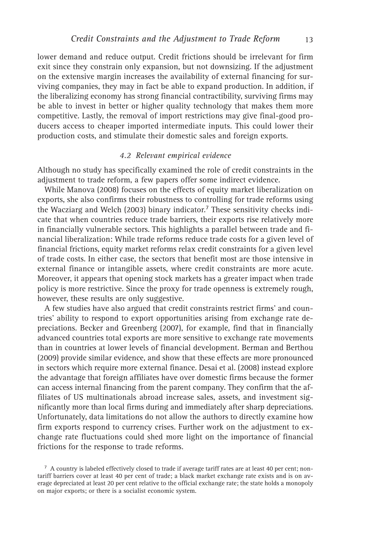lower demand and reduce output. Credit frictions should be irrelevant for firm exit since they constrain only expansion, but not downsizing. If the adjustment on the extensive margin increases the availability of external financing for surviving companies, they may in fact be able to expand production. In addition, if the liberalizing economy has strong financial contractibility, surviving firms may be able to invest in better or higher quality technology that makes them more competitive. Lastly, the removal of import restrictions may give final-good producers access to cheaper imported intermediate inputs. This could lower their production costs, and stimulate their domestic sales and foreign exports.

## *4.2 Relevant empirical evidence*

Although no study has specifically examined the role of credit constraints in the adjustment to trade reform, a few papers offer some indirect evidence.

While Manova (2008) focuses on the effects of equity market liberalization on exports, she also confirms their robustness to controlling for trade reforms using the Wacziarg and Welch (2003) binary indicator.<sup>7</sup> These sensitivity checks indicate that when countries reduce trade barriers, their exports rise relatively more in financially vulnerable sectors. This highlights a parallel between trade and financial liberalization: While trade reforms reduce trade costs for a given level of financial frictions, equity market reforms relax credit constraints for a given level of trade costs. In either case, the sectors that benefit most are those intensive in external finance or intangible assets, where credit constraints are more acute. Moreover, it appears that opening stock markets has a greater impact when trade policy is more restrictive. Since the proxy for trade openness is extremely rough, however, these results are only suggestive.

A few studies have also argued that credit constraints restrict firms' and countries' ability to respond to export opportunities arising from exchange rate depreciations. Becker and Greenberg (2007), for example, find that in financially advanced countries total exports are more sensitive to exchange rate movements than in countries at lower levels of financial development. Berman and Berthou (2009) provide similar evidence, and show that these effects are more pronounced in sectors which require more external finance. Desai et al. (2008) instead explore the advantage that foreign affiliates have over domestic firms because the former can access internal financing from the parent company. They confirm that the affiliates of US multinationals abroad increase sales, assets, and investment significantly more than local firms during and immediately after sharp depreciations. Unfortunately, data limitations do not allow the authors to directly examine how firm exports respond to currency crises. Further work on the adjustment to exchange rate fluctuations could shed more light on the importance of financial frictions for the response to trade reforms.

 $7$  A country is labeled effectively closed to trade if average tariff rates are at least 40 per cent; nontariff barriers cover at least 40 per cent of trade; a black market exchange rate exists and is on average depreciated at least 20 per cent relative to the official exchange rate; the state holds a monopoly on major exports; or there is a socialist economic system.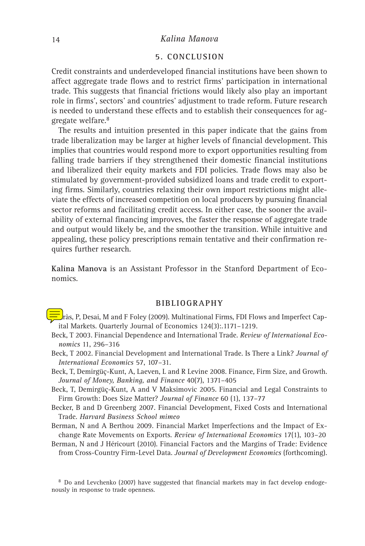## **5. CONCLUSION**

Credit constraints and underdeveloped financial institutions have been shown to affect aggregate trade flows and to restrict firms' participation in international trade. This suggests that financial frictions would likely also play an important role in firms', sectors' and countries' adjustment to trade reform. Future research is needed to understand these effects and to establish their consequences for aggregate welfare.8

The results and intuition presented in this paper indicate that the gains from trade liberalization may be larger at higher levels of financial development. This implies that countries would respond more to export opportunities resulting from falling trade barriers if they strengthened their domestic financial institutions and liberalized their equity markets and FDI policies. Trade flows may also be stimulated by government-provided subsidized loans and trade credit to exporting firms. Similarly, countries relaxing their own import restrictions might alleviate the effects of increased competition on local producers by pursuing financial sector reforms and facilitating credit access. In either case, the sooner the availability of external financing improves, the faster the response of aggregate trade and output would likely be, and the smoother the transition. While intuitive and appealing, these policy prescriptions remain tentative and their confirmation requires further research.

**Kalina Manova** is an Assistant Professor in the Stanford Department of Economics.

#### **BIBLIOGRAPHY**

- $\hat{\mathbf{r}}$ às, P, Desai, M and F Foley (2009). Multinational Firms, FDI Flows and Imperfect Capital Markets. Quarterly Journal of Economics 124(3):.1171–1219.
- Beck, T 2003. Financial Dependence and International Trade. *Review of International Economics* 11, 296–316
- Beck, T 2002. Financial Development and International Trade. Is There a Link? *Journal of International Economics* 57, 107–31.
- Beck, T, Demirgüç-Kunt, A, Laeven, L and R Levine 2008. Finance, Firm Size, and Growth. *Journal of Money, Banking, and Finance* 40(7), 1371–405
- Beck, T, Demirgüç-Kunt, A and V Maksimovic 2005. Financial and Legal Constraints to Firm Growth: Does Size Matter? *Journal of Finance* 60 (1), 137–77
- Becker, B and D Greenberg 2007. Financial Development, Fixed Costs and International Trade. *Harvard Business School mimeo*
- Berman, N and A Berthou 2009. Financial Market Imperfections and the Impact of Exchange Rate Movements on Exports. *Review of International Economics* 17(1), 103–20
- Berman, N and J Héricourt (2010). Financial Factors and the Margins of Trade: Evidence from Cross-Country Firm-Level Data. *Journal of Development Economics* (forthcoming).

<sup>8</sup> Do and Levchenko (2007) have suggested that financial markets may in fact develop endogenously in response to trade openness.